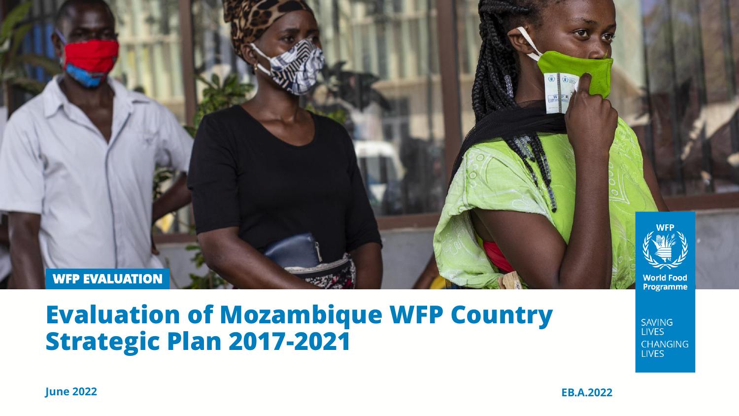

### **Evaluation of Mozambique WFP Country Strategic Plan 2017-2021**

**SAVING LIVES CHANGING LIVES** 

**June 2022 EB.A.2022**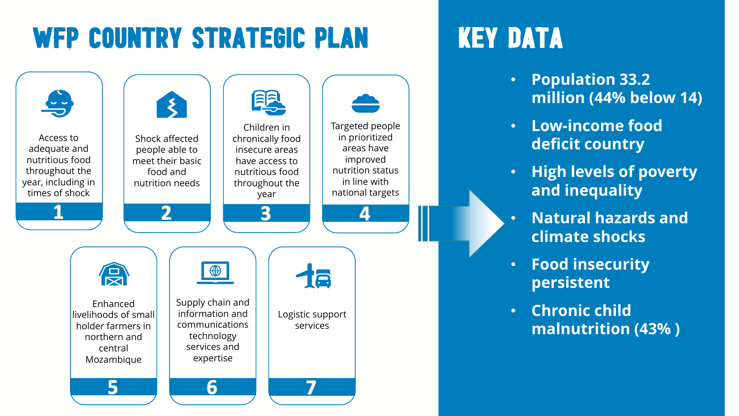# WFP COUNTRY STRATEGIC PLAN KEY DATA



- **Population 33.2 million (44% below 14)**
- **Low-income food deficit country**
- **High levels of poverty and inequality**
- **Natural hazards and climate shocks**
- **Food insecurity persistent**
- **Chronic child malnutrition (43% )**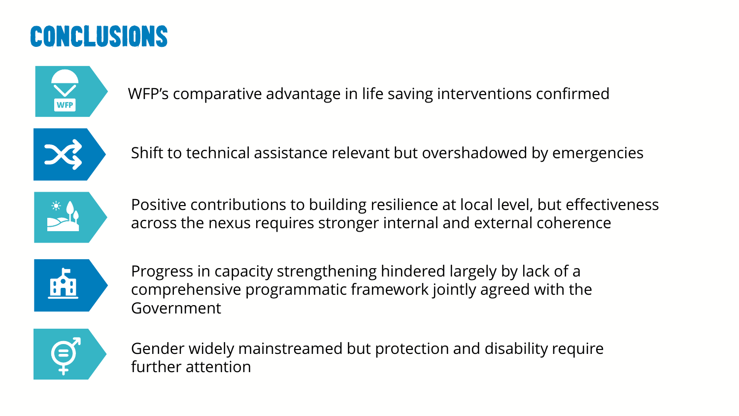## Conclusions



WFP's comparative advantage in life saving interventions confirmed



Shift to technical assistance relevant but overshadowed by emergencies



Positive contributions to building resilience at local level, but effectiveness across the nexus requires stronger internal and external coherence



Progress in capacity strengthening hindered largely by lack of a comprehensive programmatic framework jointly agreed with the Government



Gender widely mainstreamed but protection and disability require further attention